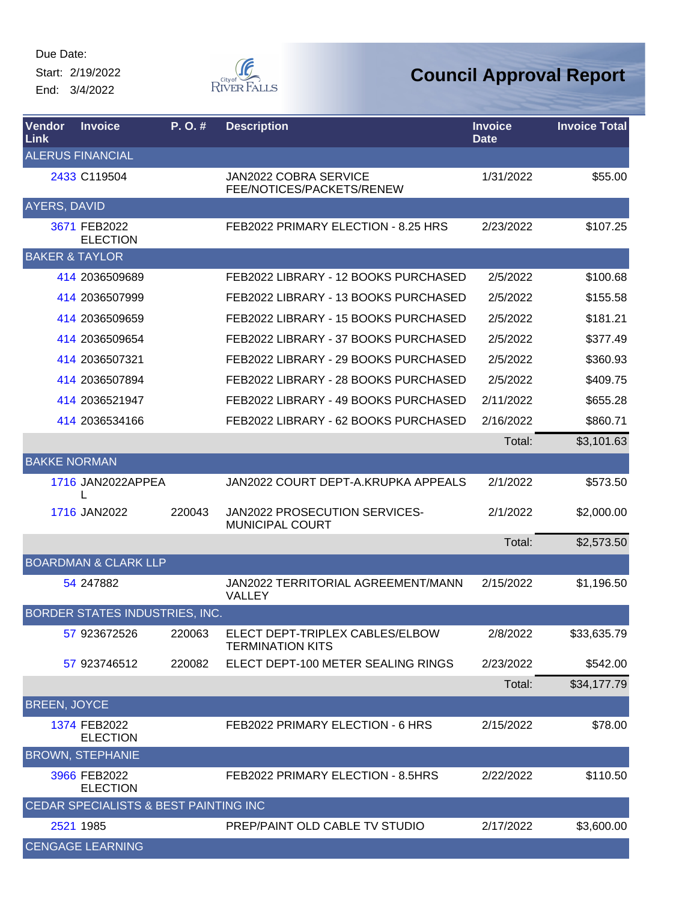Start: 2/19/2022 End: 3/4/2022



| <b>Vendor</b><br>Link     | <b>Invoice</b>                        | P.O.#  | <b>Description</b>                                         | <b>Invoice</b><br><b>Date</b> | <b>Invoice Total</b> |
|---------------------------|---------------------------------------|--------|------------------------------------------------------------|-------------------------------|----------------------|
|                           | <b>ALERUS FINANCIAL</b>               |        |                                                            |                               |                      |
|                           | 2433 C119504                          |        | <b>JAN2022 COBRA SERVICE</b><br>FEE/NOTICES/PACKETS/RENEW  | 1/31/2022                     | \$55.00              |
| AYERS, DAVID              |                                       |        |                                                            |                               |                      |
|                           | 3671 FEB2022<br><b>ELECTION</b>       |        | FEB2022 PRIMARY ELECTION - 8.25 HRS                        | 2/23/2022                     | \$107.25             |
| <b>BAKER &amp; TAYLOR</b> |                                       |        |                                                            |                               |                      |
|                           | 414 2036509689                        |        | FEB2022 LIBRARY - 12 BOOKS PURCHASED                       | 2/5/2022                      | \$100.68             |
|                           | 414 2036507999                        |        | FEB2022 LIBRARY - 13 BOOKS PURCHASED                       | 2/5/2022                      | \$155.58             |
|                           | 414 2036509659                        |        | FEB2022 LIBRARY - 15 BOOKS PURCHASED                       | 2/5/2022                      | \$181.21             |
|                           | 414 2036509654                        |        | FEB2022 LIBRARY - 37 BOOKS PURCHASED                       | 2/5/2022                      | \$377.49             |
|                           | 414 2036507321                        |        | FEB2022 LIBRARY - 29 BOOKS PURCHASED                       | 2/5/2022                      | \$360.93             |
|                           | 414 2036507894                        |        | FEB2022 LIBRARY - 28 BOOKS PURCHASED                       | 2/5/2022                      | \$409.75             |
|                           | 414 2036521947                        |        | FEB2022 LIBRARY - 49 BOOKS PURCHASED                       | 2/11/2022                     | \$655.28             |
|                           | 414 2036534166                        |        | FEB2022 LIBRARY - 62 BOOKS PURCHASED                       | 2/16/2022                     | \$860.71             |
|                           |                                       |        |                                                            | Total:                        | \$3,101.63           |
| <b>BAKKE NORMAN</b>       |                                       |        |                                                            |                               |                      |
|                           | 1716 JAN2022APPEA                     |        | JAN2022 COURT DEPT-A.KRUPKA APPEALS                        | 2/1/2022                      | \$573.50             |
|                           | 1716 JAN2022                          | 220043 | JAN2022 PROSECUTION SERVICES-<br><b>MUNICIPAL COURT</b>    | 2/1/2022                      | \$2,000.00           |
|                           |                                       |        |                                                            | Total:                        | \$2,573.50           |
|                           | <b>BOARDMAN &amp; CLARK LLP</b>       |        |                                                            |                               |                      |
|                           | 54 247882                             |        | JAN2022 TERRITORIAL AGREEMENT/MANN<br>VALLEY               | 2/15/2022                     | \$1,196.50           |
|                           | BORDER STATES INDUSTRIES, INC.        |        |                                                            |                               |                      |
|                           | 57 923672526                          | 220063 | ELECT DEPT-TRIPLEX CABLES/ELBOW<br><b>TERMINATION KITS</b> | 2/8/2022                      | \$33,635.79          |
|                           | 57 923746512                          | 220082 | ELECT DEPT-100 METER SEALING RINGS                         | 2/23/2022                     | \$542.00             |
|                           |                                       |        |                                                            | Total:                        | \$34,177.79          |
| <b>BREEN, JOYCE</b>       |                                       |        |                                                            |                               |                      |
|                           | 1374 FEB2022<br><b>ELECTION</b>       |        | FEB2022 PRIMARY ELECTION - 6 HRS                           | 2/15/2022                     | \$78.00              |
|                           | <b>BROWN, STEPHANIE</b>               |        |                                                            |                               |                      |
|                           | 3966 FEB2022<br><b>ELECTION</b>       |        | FEB2022 PRIMARY ELECTION - 8.5HRS                          | 2/22/2022                     | \$110.50             |
|                           | CEDAR SPECIALISTS & BEST PAINTING INC |        |                                                            |                               |                      |
|                           | 2521 1985                             |        | PREP/PAINT OLD CABLE TV STUDIO                             | 2/17/2022                     | \$3,600.00           |
|                           | <b>CENGAGE LEARNING</b>               |        |                                                            |                               |                      |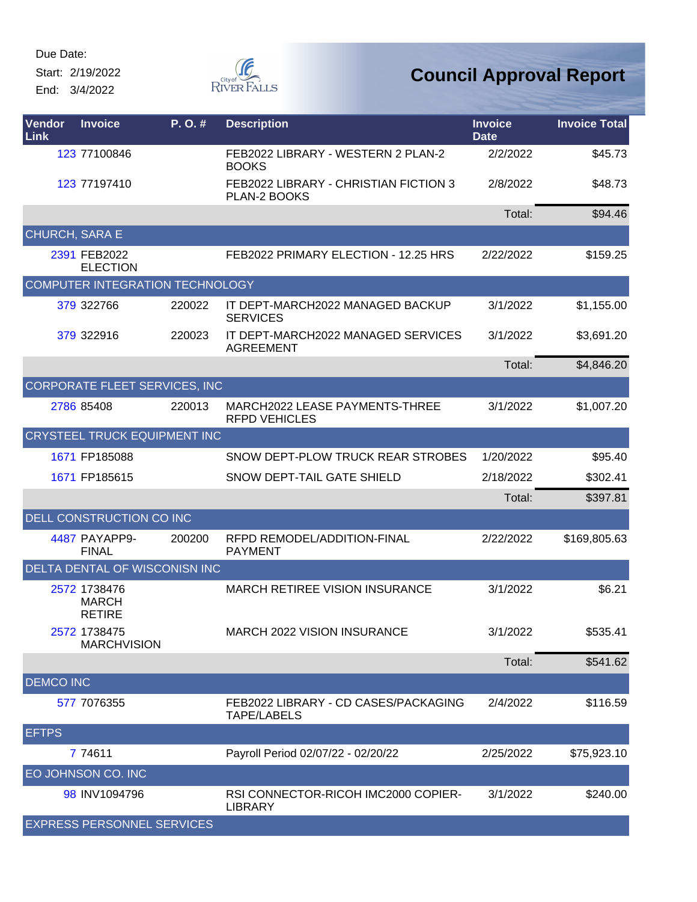Start: 2/19/2022 End: 3/4/2022



| <b>Vendor</b><br>Link | <b>Invoice</b>                                | P. O. # | <b>Description</b>                                         | <b>Invoice</b><br><b>Date</b> | <b>Invoice Total</b> |
|-----------------------|-----------------------------------------------|---------|------------------------------------------------------------|-------------------------------|----------------------|
|                       | 123 77100846                                  |         | FEB2022 LIBRARY - WESTERN 2 PLAN-2<br><b>BOOKS</b>         | 2/2/2022                      | \$45.73              |
|                       | 123 77197410                                  |         | FEB2022 LIBRARY - CHRISTIAN FICTION 3<br>PLAN-2 BOOKS      | 2/8/2022                      | \$48.73              |
|                       |                                               |         |                                                            | Total:                        | \$94.46              |
| CHURCH, SARA E        |                                               |         |                                                            |                               |                      |
|                       | 2391 FEB2022<br><b>ELECTION</b>               |         | FEB2022 PRIMARY ELECTION - 12.25 HRS                       | 2/22/2022                     | \$159.25             |
|                       | COMPUTER INTEGRATION TECHNOLOGY               |         |                                                            |                               |                      |
|                       | 379 322766                                    | 220022  | IT DEPT-MARCH2022 MANAGED BACKUP<br><b>SERVICES</b>        | 3/1/2022                      | \$1,155.00           |
|                       | 379 322916                                    | 220023  | IT DEPT-MARCH2022 MANAGED SERVICES<br><b>AGREEMENT</b>     | 3/1/2022                      | \$3,691.20           |
|                       |                                               |         |                                                            | Total:                        | \$4,846.20           |
|                       | CORPORATE FLEET SERVICES, INC                 |         |                                                            |                               |                      |
|                       | 2786 85408                                    | 220013  | MARCH2022 LEASE PAYMENTS-THREE<br><b>RFPD VEHICLES</b>     | 3/1/2022                      | \$1,007.20           |
|                       | <b>CRYSTEEL TRUCK EQUIPMENT INC</b>           |         |                                                            |                               |                      |
|                       | 1671 FP185088                                 |         | SNOW DEPT-PLOW TRUCK REAR STROBES                          | 1/20/2022                     | \$95.40              |
|                       | 1671 FP185615                                 |         | SNOW DEPT-TAIL GATE SHIELD                                 | 2/18/2022                     | \$302.41             |
|                       |                                               |         |                                                            | Total:                        | \$397.81             |
|                       | DELL CONSTRUCTION CO INC                      |         |                                                            |                               |                      |
|                       | 4487 PAYAPP9-<br><b>FINAL</b>                 | 200200  | RFPD REMODEL/ADDITION-FINAL<br><b>PAYMENT</b>              | 2/22/2022                     | \$169,805.63         |
|                       | DELTA DENTAL OF WISCONISN INC                 |         |                                                            |                               |                      |
|                       | 2572 1738476<br><b>MARCH</b><br><b>RETIRE</b> |         | <b>MARCH RETIREE VISION INSURANCE</b>                      | 3/1/2022                      | \$6.21               |
|                       | 2572 1738475<br><b>MARCHVISION</b>            |         | <b>MARCH 2022 VISION INSURANCE</b>                         | 3/1/2022                      | \$535.41             |
|                       |                                               |         |                                                            | Total:                        | \$541.62             |
| <b>DEMCO INC</b>      |                                               |         |                                                            |                               |                      |
|                       | 577 7076355                                   |         | FEB2022 LIBRARY - CD CASES/PACKAGING<br><b>TAPE/LABELS</b> | 2/4/2022                      | \$116.59             |
| <b>EFTPS</b>          |                                               |         |                                                            |                               |                      |
|                       | 7 74611                                       |         | Payroll Period 02/07/22 - 02/20/22                         | 2/25/2022                     | \$75,923.10          |
|                       | EO JOHNSON CO. INC                            |         |                                                            |                               |                      |
|                       | 98 INV1094796                                 |         | RSI CONNECTOR-RICOH IMC2000 COPIER-<br><b>LIBRARY</b>      | 3/1/2022                      | \$240.00             |
|                       | <b>EXPRESS PERSONNEL SERVICES</b>             |         |                                                            |                               |                      |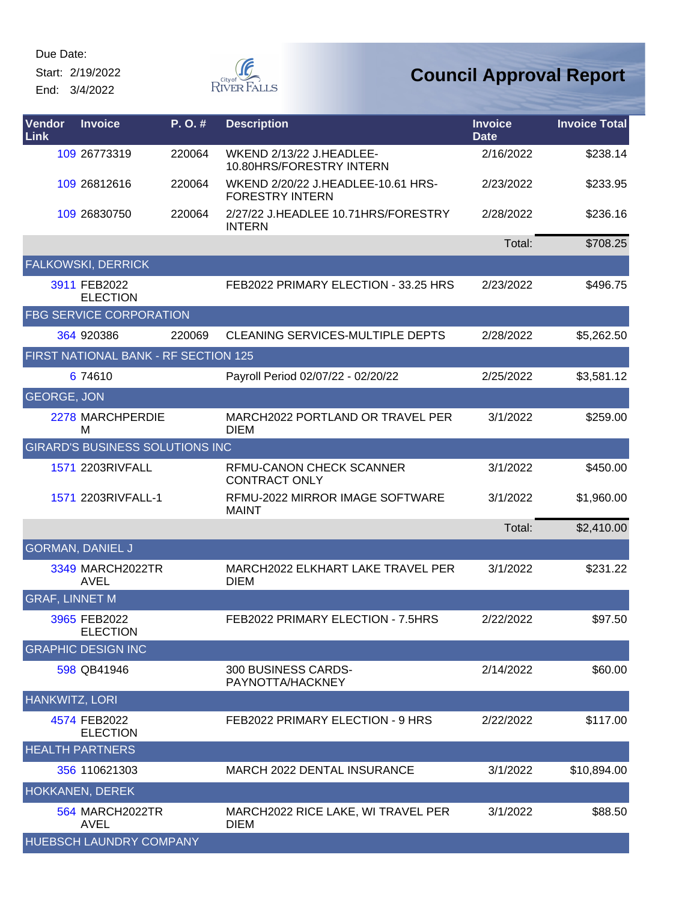Start: 2/19/2022 End: 3/4/2022





| Vendor<br>Link        | <b>Invoice</b>                         | P.O.#  | <b>Description</b>                                           | <b>Invoice</b><br><b>Date</b> | <b>Invoice Total</b> |
|-----------------------|----------------------------------------|--------|--------------------------------------------------------------|-------------------------------|----------------------|
|                       | 109 26773319                           | 220064 | WKEND 2/13/22 J.HEADLEE-<br>10.80HRS/FORESTRY INTERN         | 2/16/2022                     | \$238.14             |
|                       | 109 26812616                           | 220064 | WKEND 2/20/22 J.HEADLEE-10.61 HRS-<br><b>FORESTRY INTERN</b> | 2/23/2022                     | \$233.95             |
|                       | 109 26830750                           | 220064 | 2/27/22 J.HEADLEE 10.71HRS/FORESTRY<br><b>INTERN</b>         | 2/28/2022                     | \$236.16             |
|                       |                                        |        |                                                              | Total:                        | \$708.25             |
|                       | <b>FALKOWSKI, DERRICK</b>              |        |                                                              |                               |                      |
|                       | 3911 FEB2022<br><b>ELECTION</b>        |        | FEB2022 PRIMARY ELECTION - 33.25 HRS                         | 2/23/2022                     | \$496.75             |
|                       | <b>FBG SERVICE CORPORATION</b>         |        |                                                              |                               |                      |
|                       | 364 920386                             | 220069 | <b>CLEANING SERVICES-MULTIPLE DEPTS</b>                      | 2/28/2022                     | \$5,262.50           |
|                       | FIRST NATIONAL BANK - RF SECTION 125   |        |                                                              |                               |                      |
|                       | 6 74 610                               |        | Payroll Period 02/07/22 - 02/20/22                           | 2/25/2022                     | \$3,581.12           |
| <b>GEORGE, JON</b>    |                                        |        |                                                              |                               |                      |
|                       | 2278 MARCHPERDIE<br>M                  |        | MARCH2022 PORTLAND OR TRAVEL PER<br><b>DIEM</b>              | 3/1/2022                      | \$259.00             |
|                       | <b>GIRARD'S BUSINESS SOLUTIONS INC</b> |        |                                                              |                               |                      |
|                       | 1571 2203RIVFALL                       |        | RFMU-CANON CHECK SCANNER<br><b>CONTRACT ONLY</b>             | 3/1/2022                      | \$450.00             |
|                       | 1571 2203RIVFALL-1                     |        | RFMU-2022 MIRROR IMAGE SOFTWARE<br><b>MAINT</b>              | 3/1/2022                      | \$1,960.00           |
|                       |                                        |        |                                                              | Total:                        | \$2,410.00           |
|                       | <b>GORMAN, DANIEL J</b>                |        |                                                              |                               |                      |
|                       | 3349 MARCH2022TR<br><b>AVEL</b>        |        | MARCH2022 ELKHART LAKE TRAVEL PER<br><b>DIEM</b>             | 3/1/2022                      | \$231.22             |
| <b>GRAF, LINNET M</b> |                                        |        |                                                              |                               |                      |
|                       | 3965 FEB2022<br><b>ELECTION</b>        |        | FEB2022 PRIMARY ELECTION - 7.5HRS                            | 2/22/2022                     | \$97.50              |
|                       | <b>GRAPHIC DESIGN INC</b>              |        |                                                              |                               |                      |
|                       | 598 QB41946                            |        | 300 BUSINESS CARDS-<br>PAYNOTTA/HACKNEY                      | 2/14/2022                     | \$60.00              |
| <b>HANKWITZ, LORI</b> |                                        |        |                                                              |                               |                      |
|                       | 4574 FEB2022<br><b>ELECTION</b>        |        | FEB2022 PRIMARY ELECTION - 9 HRS                             | 2/22/2022                     | \$117.00             |
|                       | <b>HEALTH PARTNERS</b>                 |        |                                                              |                               |                      |
|                       | 356 110621303                          |        | <b>MARCH 2022 DENTAL INSURANCE</b>                           | 3/1/2022                      | \$10,894.00          |
|                       | HOKKANEN, DEREK                        |        |                                                              |                               |                      |
|                       | <b>564 MARCH2022TR</b><br>AVEL         |        | MARCH2022 RICE LAKE, WI TRAVEL PER<br>DIEM                   | 3/1/2022                      | \$88.50              |
|                       | HUEBSCH LAUNDRY COMPANY                |        |                                                              |                               |                      |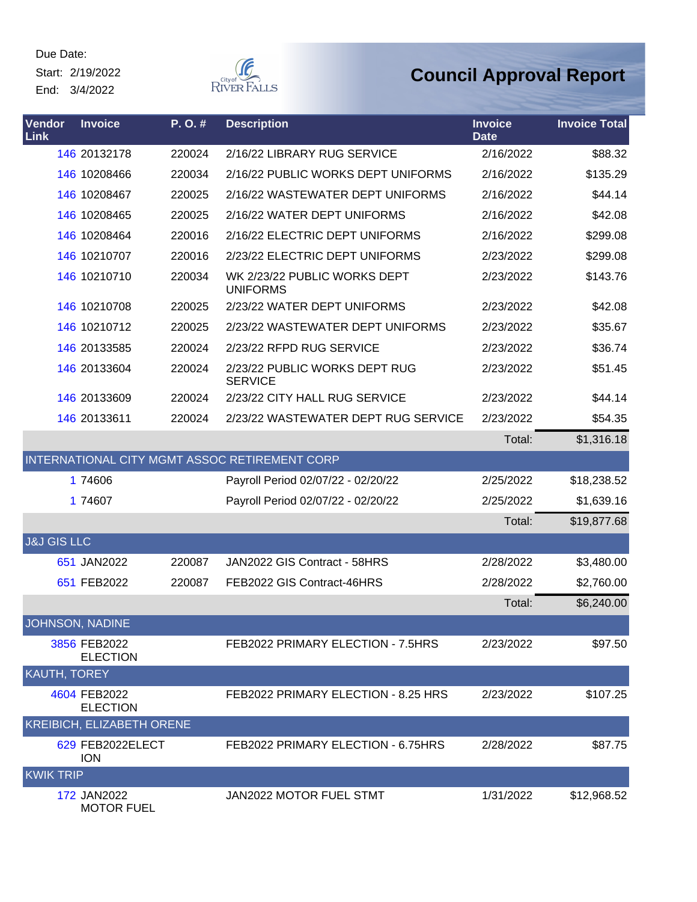Start: 2/19/2022 End: 3/4/2022



| Vendor<br>Link         | <b>Invoice</b>                   | P.O.#  | <b>Description</b>                              | <b>Invoice</b><br><b>Date</b> | <b>Invoice Total</b> |
|------------------------|----------------------------------|--------|-------------------------------------------------|-------------------------------|----------------------|
|                        | 146 20132178                     | 220024 | 2/16/22 LIBRARY RUG SERVICE                     | 2/16/2022                     | \$88.32              |
|                        | 146 10208466                     | 220034 | 2/16/22 PUBLIC WORKS DEPT UNIFORMS              | 2/16/2022                     | \$135.29             |
|                        | 146 10208467                     | 220025 | 2/16/22 WASTEWATER DEPT UNIFORMS                | 2/16/2022                     | \$44.14              |
|                        | 146 10208465                     | 220025 | 2/16/22 WATER DEPT UNIFORMS                     | 2/16/2022                     | \$42.08              |
|                        | 146 10208464                     | 220016 | 2/16/22 ELECTRIC DEPT UNIFORMS                  | 2/16/2022                     | \$299.08             |
|                        | 146 10210707                     | 220016 | 2/23/22 ELECTRIC DEPT UNIFORMS                  | 2/23/2022                     | \$299.08             |
|                        | 146 10210710                     | 220034 | WK 2/23/22 PUBLIC WORKS DEPT<br><b>UNIFORMS</b> | 2/23/2022                     | \$143.76             |
|                        | 146 10210708                     | 220025 | 2/23/22 WATER DEPT UNIFORMS                     | 2/23/2022                     | \$42.08              |
|                        | 146 10210712                     | 220025 | 2/23/22 WASTEWATER DEPT UNIFORMS                | 2/23/2022                     | \$35.67              |
|                        | 146 20133585                     | 220024 | 2/23/22 RFPD RUG SERVICE                        | 2/23/2022                     | \$36.74              |
|                        | 146 20133604                     | 220024 | 2/23/22 PUBLIC WORKS DEPT RUG<br><b>SERVICE</b> | 2/23/2022                     | \$51.45              |
|                        | 146 20133609                     | 220024 | 2/23/22 CITY HALL RUG SERVICE                   | 2/23/2022                     | \$44.14              |
|                        | 146 20133611                     | 220024 | 2/23/22 WASTEWATER DEPT RUG SERVICE             | 2/23/2022                     | \$54.35              |
|                        |                                  |        |                                                 | Total:                        | \$1,316.18           |
|                        |                                  |        | INTERNATIONAL CITY MGMT ASSOC RETIREMENT CORP   |                               |                      |
|                        | 1 74606                          |        | Payroll Period 02/07/22 - 02/20/22              | 2/25/2022                     | \$18,238.52          |
|                        | 1 74607                          |        | Payroll Period 02/07/22 - 02/20/22              | 2/25/2022                     | \$1,639.16           |
|                        |                                  |        |                                                 | Total:                        | \$19,877.68          |
| <b>J&amp;J GIS LLC</b> |                                  |        |                                                 |                               |                      |
|                        | 651 JAN2022                      | 220087 | JAN2022 GIS Contract - 58HRS                    | 2/28/2022                     | \$3,480.00           |
|                        | 651 FEB2022                      | 220087 | FEB2022 GIS Contract-46HRS                      | 2/28/2022                     | \$2,760.00           |
|                        |                                  |        |                                                 | Total:                        | \$6,240.00           |
| JOHNSON, NADINE        |                                  |        |                                                 |                               |                      |
|                        | 3856 FEB2022<br><b>ELECTION</b>  |        | FEB2022 PRIMARY ELECTION - 7.5HRS               | 2/23/2022                     | \$97.50              |
| KAUTH, TOREY           |                                  |        |                                                 |                               |                      |
|                        | 4604 FEB2022<br><b>ELECTION</b>  |        | FEB2022 PRIMARY ELECTION - 8.25 HRS             | 2/23/2022                     | \$107.25             |
|                        | KREIBICH, ELIZABETH ORENE        |        |                                                 |                               |                      |
|                        | 629 FEB2022ELECT<br><b>ION</b>   |        | FEB2022 PRIMARY ELECTION - 6.75HRS              | 2/28/2022                     | \$87.75              |
| <b>KWIK TRIP</b>       |                                  |        |                                                 |                               |                      |
|                        | 172 JAN2022<br><b>MOTOR FUEL</b> |        | JAN2022 MOTOR FUEL STMT                         | 1/31/2022                     | \$12,968.52          |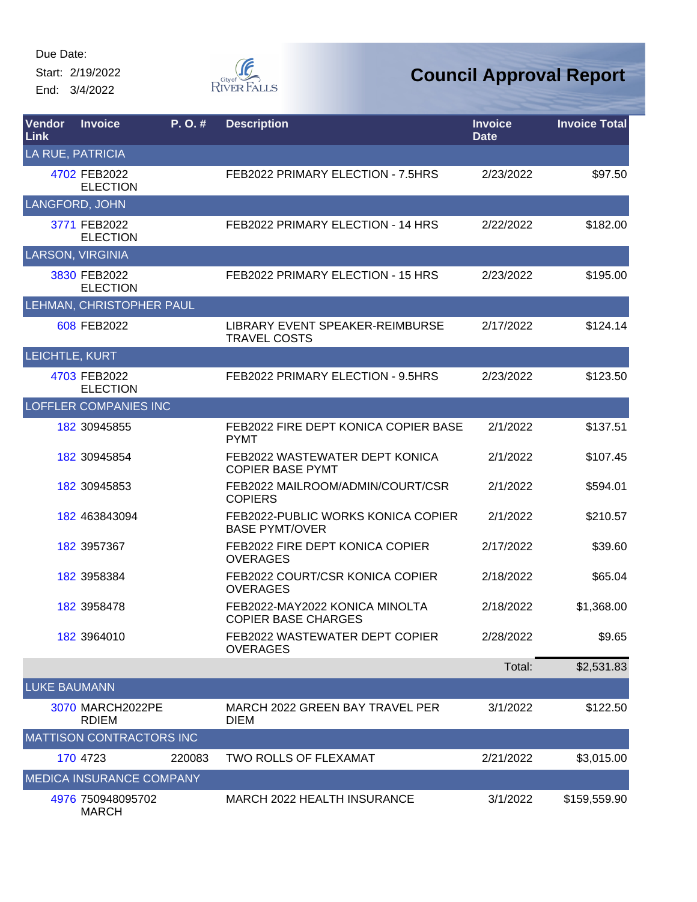Start: 2/19/2022 End: 3/4/2022



| Vendor<br>Link      | <b>Invoice</b>                    | P.O.#  | <b>Description</b>                                           | <b>Invoice</b><br><b>Date</b> | <b>Invoice Total</b> |
|---------------------|-----------------------------------|--------|--------------------------------------------------------------|-------------------------------|----------------------|
|                     | LA RUE, PATRICIA                  |        |                                                              |                               |                      |
|                     | 4702 FEB2022<br><b>ELECTION</b>   |        | FEB2022 PRIMARY ELECTION - 7.5HRS                            | 2/23/2022                     | \$97.50              |
|                     | <b>LANGFORD, JOHN</b>             |        |                                                              |                               |                      |
|                     | 3771 FEB2022<br><b>ELECTION</b>   |        | FEB2022 PRIMARY ELECTION - 14 HRS                            | 2/22/2022                     | \$182.00             |
|                     | <b>LARSON, VIRGINIA</b>           |        |                                                              |                               |                      |
|                     | 3830 FEB2022<br><b>ELECTION</b>   |        | FEB2022 PRIMARY ELECTION - 15 HRS                            | 2/23/2022                     | \$195.00             |
|                     | LEHMAN, CHRISTOPHER PAUL          |        |                                                              |                               |                      |
|                     | 608 FEB2022                       |        | LIBRARY EVENT SPEAKER-REIMBURSE<br><b>TRAVEL COSTS</b>       | 2/17/2022                     | \$124.14             |
| LEICHTLE, KURT      |                                   |        |                                                              |                               |                      |
|                     | 4703 FEB2022<br><b>ELECTION</b>   |        | FEB2022 PRIMARY ELECTION - 9.5HRS                            | 2/23/2022                     | \$123.50             |
|                     | <b>LOFFLER COMPANIES INC</b>      |        |                                                              |                               |                      |
|                     | 182 30945855                      |        | FEB2022 FIRE DEPT KONICA COPIER BASE<br><b>PYMT</b>          | 2/1/2022                      | \$137.51             |
|                     | 182 30945854                      |        | FEB2022 WASTEWATER DEPT KONICA<br><b>COPIER BASE PYMT</b>    | 2/1/2022                      | \$107.45             |
|                     | 182 30945853                      |        | FEB2022 MAILROOM/ADMIN/COURT/CSR<br><b>COPIERS</b>           | 2/1/2022                      | \$594.01             |
|                     | 182 463843094                     |        | FEB2022-PUBLIC WORKS KONICA COPIER<br><b>BASE PYMT/OVER</b>  | 2/1/2022                      | \$210.57             |
|                     | 182 3957367                       |        | FEB2022 FIRE DEPT KONICA COPIER<br><b>OVERAGES</b>           | 2/17/2022                     | \$39.60              |
|                     | 182 3958384                       |        | FEB2022 COURT/CSR KONICA COPIER<br><b>OVERAGES</b>           | 2/18/2022                     | \$65.04              |
|                     | 182 3958478                       |        | FEB2022-MAY2022 KONICA MINOLTA<br><b>COPIER BASE CHARGES</b> | 2/18/2022                     | \$1,368.00           |
|                     | 182 3964010                       |        | FEB2022 WASTEWATER DEPT COPIER<br><b>OVERAGES</b>            | 2/28/2022                     | \$9.65               |
|                     |                                   |        |                                                              | Total:                        | \$2,531.83           |
| <b>LUKE BAUMANN</b> |                                   |        |                                                              |                               |                      |
|                     | 3070 MARCH2022PE<br><b>RDIEM</b>  |        | MARCH 2022 GREEN BAY TRAVEL PER<br><b>DIEM</b>               | 3/1/2022                      | \$122.50             |
|                     | <b>MATTISON CONTRACTORS INC</b>   |        |                                                              |                               |                      |
|                     | 170 4723                          | 220083 | <b>TWO ROLLS OF FLEXAMAT</b>                                 | 2/21/2022                     | \$3,015.00           |
|                     | <b>MEDICA INSURANCE COMPANY</b>   |        |                                                              |                               |                      |
|                     | 4976 750948095702<br><b>MARCH</b> |        | MARCH 2022 HEALTH INSURANCE                                  | 3/1/2022                      | \$159,559.90         |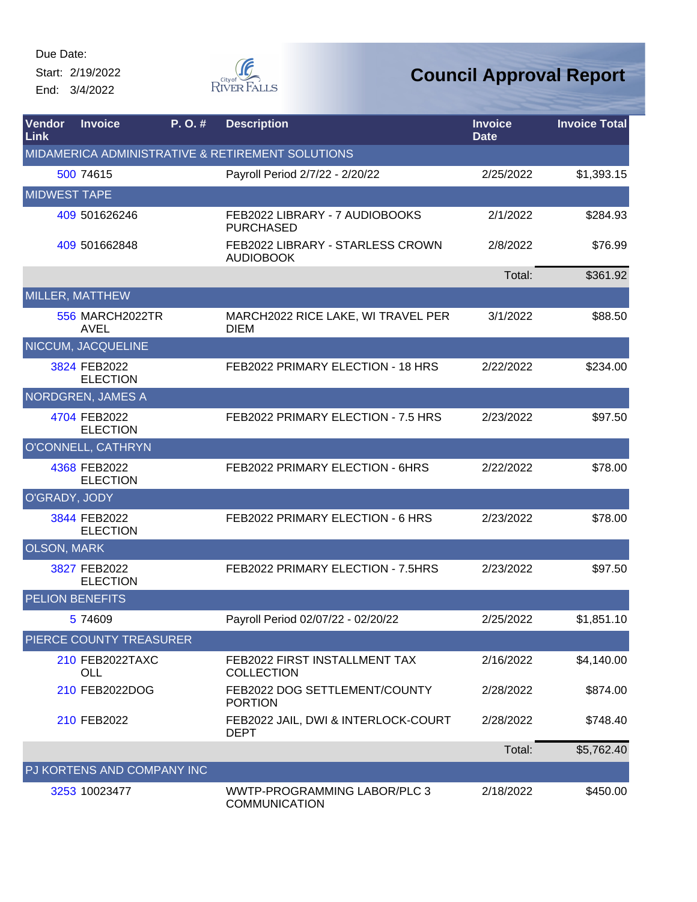Start: 2/19/2022 End: 3/4/2022



| Vendor<br>Link         | <b>Invoice</b>                        | P. O.# | <b>Description</b>                                   | <b>Invoice</b><br><b>Date</b> | <b>Invoice Total</b> |
|------------------------|---------------------------------------|--------|------------------------------------------------------|-------------------------------|----------------------|
|                        |                                       |        | MIDAMERICA ADMINISTRATIVE & RETIREMENT SOLUTIONS     |                               |                      |
|                        | 500 74615                             |        | Payroll Period 2/7/22 - 2/20/22                      | 2/25/2022                     | \$1,393.15           |
| <b>MIDWEST TAPE</b>    |                                       |        |                                                      |                               |                      |
|                        | 409 501626246                         |        | FEB2022 LIBRARY - 7 AUDIOBOOKS<br><b>PURCHASED</b>   | 2/1/2022                      | \$284.93             |
|                        | 409 501662848                         |        | FEB2022 LIBRARY - STARLESS CROWN<br><b>AUDIOBOOK</b> | 2/8/2022                      | \$76.99              |
|                        |                                       |        |                                                      | Total:                        | \$361.92             |
|                        | MILLER, MATTHEW                       |        |                                                      |                               |                      |
|                        | <b>556 MARCH2022TR</b><br><b>AVEL</b> |        | MARCH2022 RICE LAKE, WI TRAVEL PER<br><b>DIEM</b>    | 3/1/2022                      | \$88.50              |
|                        | <b>NICCUM, JACQUELINE</b>             |        |                                                      |                               |                      |
|                        | 3824 FEB2022<br><b>ELECTION</b>       |        | FEB2022 PRIMARY ELECTION - 18 HRS                    | 2/22/2022                     | \$234.00             |
|                        | NORDGREN, JAMES A                     |        |                                                      |                               |                      |
|                        | 4704 FEB2022<br><b>ELECTION</b>       |        | FEB2022 PRIMARY ELECTION - 7.5 HRS                   | 2/23/2022                     | \$97.50              |
|                        | O'CONNELL, CATHRYN                    |        |                                                      |                               |                      |
|                        | 4368 FEB2022<br><b>ELECTION</b>       |        | FEB2022 PRIMARY ELECTION - 6HRS                      | 2/22/2022                     | \$78.00              |
| O'GRADY, JODY          |                                       |        |                                                      |                               |                      |
|                        | 3844 FEB2022<br><b>ELECTION</b>       |        | FEB2022 PRIMARY ELECTION - 6 HRS                     | 2/23/2022                     | \$78.00              |
| <b>OLSON, MARK</b>     |                                       |        |                                                      |                               |                      |
|                        | 3827 FEB2022<br><b>ELECTION</b>       |        | FEB2022 PRIMARY ELECTION - 7.5HRS                    | 2/23/2022                     | \$97.50              |
| <b>PELION BENEFITS</b> |                                       |        |                                                      |                               |                      |
|                        | 5 74609                               |        | Payroll Period 02/07/22 - 02/20/22                   | 2/25/2022                     | \$1,851.10           |
|                        | PIERCE COUNTY TREASURER               |        |                                                      |                               |                      |
|                        | 210 FEB2022TAXC<br>OLL                |        | FEB2022 FIRST INSTALLMENT TAX<br><b>COLLECTION</b>   | 2/16/2022                     | \$4,140.00           |
|                        | 210 FEB2022DOG                        |        | FEB2022 DOG SETTLEMENT/COUNTY<br><b>PORTION</b>      | 2/28/2022                     | \$874.00             |
|                        | 210 FEB2022                           |        | FEB2022 JAIL, DWI & INTERLOCK-COURT<br><b>DEPT</b>   | 2/28/2022                     | \$748.40             |
|                        |                                       |        |                                                      | Total:                        | \$5,762.40           |
|                        | PJ KORTENS AND COMPANY INC            |        |                                                      |                               |                      |
|                        | 3253 10023477                         |        | WWTP-PROGRAMMING LABOR/PLC 3<br><b>COMMUNICATION</b> | 2/18/2022                     | \$450.00             |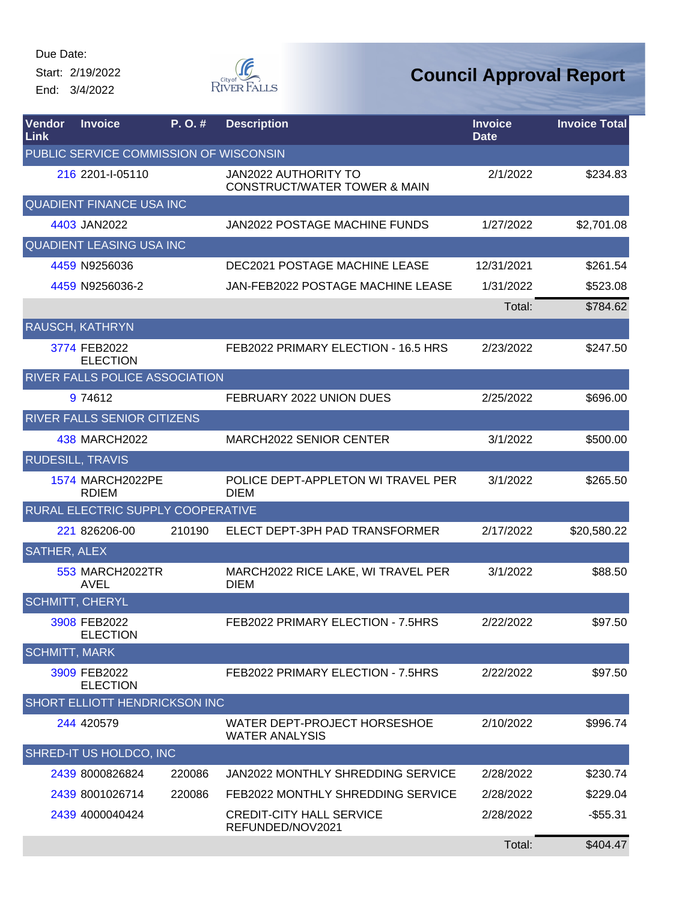Start: 2/19/2022 End: 3/4/2022



| Vendor<br><b>Link</b> | <b>Invoice</b>                          | P.O.#  | <b>Description</b>                                                     | <b>Invoice</b><br><b>Date</b> | <b>Invoice Total</b> |
|-----------------------|-----------------------------------------|--------|------------------------------------------------------------------------|-------------------------------|----------------------|
|                       | PUBLIC SERVICE COMMISSION OF WISCONSIN  |        |                                                                        |                               |                      |
|                       | 216 2201-I-05110                        |        | <b>JAN2022 AUTHORITY TO</b><br><b>CONSTRUCT/WATER TOWER &amp; MAIN</b> | 2/1/2022                      | \$234.83             |
|                       | <b>QUADIENT FINANCE USA INC</b>         |        |                                                                        |                               |                      |
|                       | 4403 JAN2022                            |        | JAN2022 POSTAGE MACHINE FUNDS                                          | 1/27/2022                     | \$2,701.08           |
|                       | QUADIENT LEASING USA INC                |        |                                                                        |                               |                      |
|                       | 4459 N9256036                           |        | <b>DEC2021 POSTAGE MACHINE LEASE</b>                                   | 12/31/2021                    | \$261.54             |
|                       | 4459 N9256036-2                         |        | JAN-FEB2022 POSTAGE MACHINE LEASE                                      | 1/31/2022                     | \$523.08             |
|                       |                                         |        |                                                                        | Total:                        | \$784.62             |
|                       | RAUSCH, KATHRYN                         |        |                                                                        |                               |                      |
|                       | 3774 FEB2022<br><b>ELECTION</b>         |        | FEB2022 PRIMARY ELECTION - 16.5 HRS                                    | 2/23/2022                     | \$247.50             |
|                       | RIVER FALLS POLICE ASSOCIATION          |        |                                                                        |                               |                      |
|                       | 9 74612                                 |        | FEBRUARY 2022 UNION DUES                                               | 2/25/2022                     | \$696.00             |
|                       | RIVER FALLS SENIOR CITIZENS             |        |                                                                        |                               |                      |
|                       | 438 MARCH2022                           |        | <b>MARCH2022 SENIOR CENTER</b>                                         | 3/1/2022                      | \$500.00             |
|                       | <b>RUDESILL, TRAVIS</b>                 |        |                                                                        |                               |                      |
|                       | <b>1574 MARCH2022PE</b><br><b>RDIEM</b> |        | POLICE DEPT-APPLETON WI TRAVEL PER<br><b>DIEM</b>                      | 3/1/2022                      | \$265.50             |
|                       | RURAL ELECTRIC SUPPLY COOPERATIVE       |        |                                                                        |                               |                      |
|                       | 221 826206-00                           | 210190 | ELECT DEPT-3PH PAD TRANSFORMER                                         | 2/17/2022                     | \$20,580.22          |
| <b>SATHER, ALEX</b>   |                                         |        |                                                                        |                               |                      |
|                       | 553 MARCH2022TR<br><b>AVEL</b>          |        | MARCH2022 RICE LAKE, WI TRAVEL PER<br><b>DIEM</b>                      | 3/1/2022                      | \$88.50              |
|                       | <b>SCHMITT, CHERYL</b>                  |        |                                                                        |                               |                      |
|                       | 3908 FEB2022<br><b>ELECTION</b>         |        | FEB2022 PRIMARY ELECTION - 7.5HRS                                      | 2/22/2022                     | \$97.50              |
| <b>SCHMITT, MARK</b>  |                                         |        |                                                                        |                               |                      |
|                       | 3909 FEB2022<br><b>ELECTION</b>         |        | FEB2022 PRIMARY ELECTION - 7.5HRS                                      | 2/22/2022                     | \$97.50              |
|                       | SHORT ELLIOTT HENDRICKSON INC           |        |                                                                        |                               |                      |
|                       | 244 420579                              |        | WATER DEPT-PROJECT HORSESHOE<br><b>WATER ANALYSIS</b>                  | 2/10/2022                     | \$996.74             |
|                       | SHRED-IT US HOLDCO, INC                 |        |                                                                        |                               |                      |
|                       | 2439 8000826824                         | 220086 | JAN2022 MONTHLY SHREDDING SERVICE                                      | 2/28/2022                     | \$230.74             |
|                       | 2439 8001026714                         | 220086 | FEB2022 MONTHLY SHREDDING SERVICE                                      | 2/28/2022                     | \$229.04             |
|                       | 2439 4000040424                         |        | <b>CREDIT-CITY HALL SERVICE</b><br>REFUNDED/NOV2021                    | 2/28/2022                     | $-$ \$55.31          |
|                       |                                         |        |                                                                        | Total:                        | \$404.47             |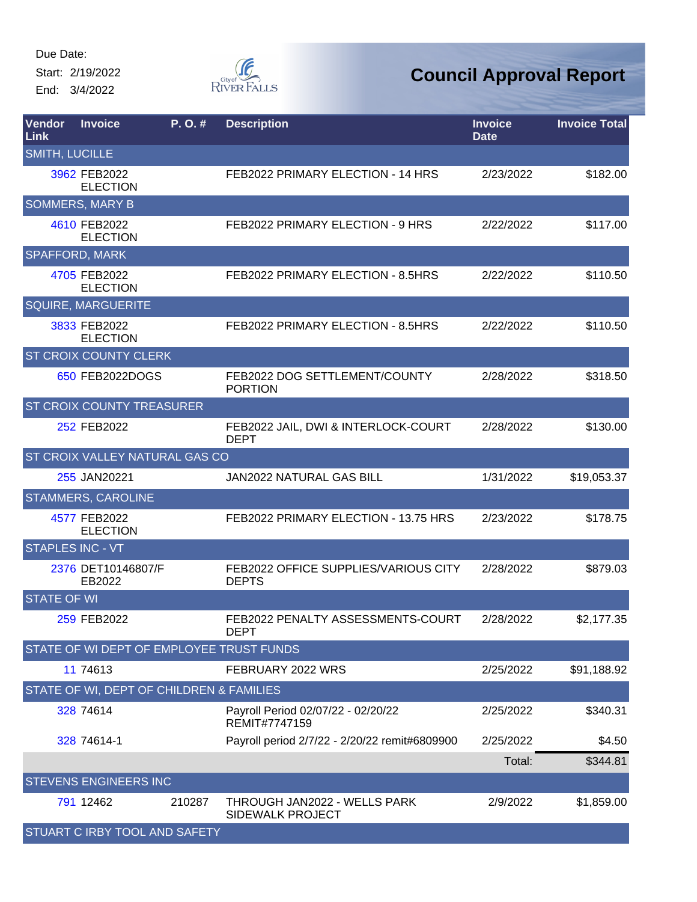Start: 2/19/2022 End: 3/4/2022



| <b>Vendor</b><br>Link | <b>Invoice</b>                           | P. O. # | <b>Description</b>                                   | <b>Invoice</b><br><b>Date</b> | <b>Invoice Total</b> |
|-----------------------|------------------------------------------|---------|------------------------------------------------------|-------------------------------|----------------------|
| <b>SMITH, LUCILLE</b> |                                          |         |                                                      |                               |                      |
|                       | 3962 FEB2022<br><b>ELECTION</b>          |         | FEB2022 PRIMARY ELECTION - 14 HRS                    | 2/23/2022                     | \$182.00             |
|                       | <b>SOMMERS, MARY B</b>                   |         |                                                      |                               |                      |
|                       | 4610 FEB2022<br><b>ELECTION</b>          |         | FEB2022 PRIMARY ELECTION - 9 HRS                     | 2/22/2022                     | \$117.00             |
|                       | <b>SPAFFORD, MARK</b>                    |         |                                                      |                               |                      |
|                       | 4705 FEB2022<br><b>ELECTION</b>          |         | FEB2022 PRIMARY ELECTION - 8.5HRS                    | 2/22/2022                     | \$110.50             |
|                       | <b>SQUIRE, MARGUERITE</b>                |         |                                                      |                               |                      |
|                       | 3833 FEB2022<br><b>ELECTION</b>          |         | FEB2022 PRIMARY ELECTION - 8.5HRS                    | 2/22/2022                     | \$110.50             |
|                       | <b>ST CROIX COUNTY CLERK</b>             |         |                                                      |                               |                      |
|                       | 650 FEB2022DOGS                          |         | FEB2022 DOG SETTLEMENT/COUNTY<br><b>PORTION</b>      | 2/28/2022                     | \$318.50             |
|                       | <b>ST CROIX COUNTY TREASURER</b>         |         |                                                      |                               |                      |
|                       | 252 FEB2022                              |         | FEB2022 JAIL, DWI & INTERLOCK-COURT<br><b>DEPT</b>   | 2/28/2022                     | \$130.00             |
|                       | ST CROIX VALLEY NATURAL GAS CO           |         |                                                      |                               |                      |
|                       | 255 JAN20221                             |         | JAN2022 NATURAL GAS BILL                             | 1/31/2022                     | \$19,053.37          |
|                       | <b>STAMMERS, CAROLINE</b>                |         |                                                      |                               |                      |
|                       | 4577 FEB2022<br><b>ELECTION</b>          |         | FEB2022 PRIMARY ELECTION - 13.75 HRS                 | 2/23/2022                     | \$178.75             |
|                       | <b>STAPLES INC - VT</b>                  |         |                                                      |                               |                      |
|                       | 2376 DET10146807/F<br>EB2022             |         | FEB2022 OFFICE SUPPLIES/VARIOUS CITY<br><b>DEPTS</b> | 2/28/2022                     | \$879.03             |
| <b>STATE OF WI</b>    |                                          |         |                                                      |                               |                      |
|                       | 259 FEB2022                              |         | FEB2022 PENALTY ASSESSMENTS-COURT<br><b>DEPT</b>     | 2/28/2022                     | \$2,177.35           |
|                       |                                          |         | STATE OF WI DEPT OF EMPLOYEE TRUST FUNDS             |                               |                      |
|                       | 11 74613                                 |         | FEBRUARY 2022 WRS                                    | 2/25/2022                     | \$91,188.92          |
|                       | STATE OF WI, DEPT OF CHILDREN & FAMILIES |         |                                                      |                               |                      |
|                       | 328 74614                                |         | Payroll Period 02/07/22 - 02/20/22<br>REMIT#7747159  | 2/25/2022                     | \$340.31             |
|                       | 328 74614-1                              |         | Payroll period 2/7/22 - 2/20/22 remit#6809900        | 2/25/2022                     | \$4.50               |
|                       |                                          |         |                                                      | Total:                        | \$344.81             |
|                       | <b>STEVENS ENGINEERS INC</b>             |         |                                                      |                               |                      |
|                       | 791 12462                                | 210287  | THROUGH JAN2022 - WELLS PARK<br>SIDEWALK PROJECT     | 2/9/2022                      | \$1,859.00           |
|                       | STUART C IRBY TOOL AND SAFETY            |         |                                                      |                               |                      |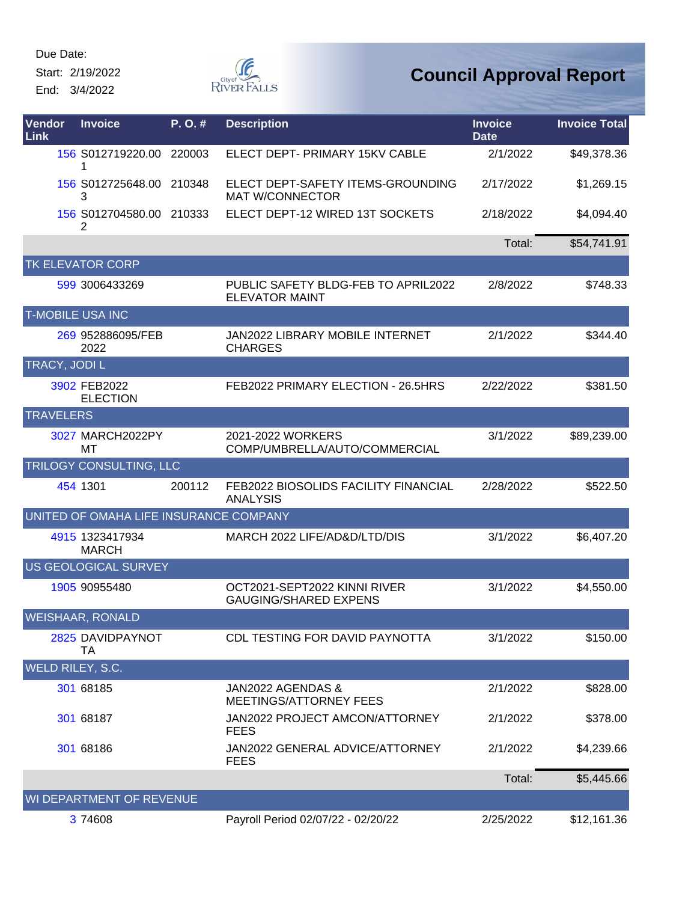Start: 2/19/2022

End: 3/4/2022



| Vendor<br>Link          | <b>Invoice</b>                         | P. O. # | <b>Description</b>                                           | <b>Invoice</b><br><b>Date</b> | <b>Invoice Total</b> |
|-------------------------|----------------------------------------|---------|--------------------------------------------------------------|-------------------------------|----------------------|
|                         | 156 S012719220.00 220003<br>1          |         | ELECT DEPT- PRIMARY 15KV CABLE                               | 2/1/2022                      | \$49,378.36          |
|                         | 156 S012725648.00<br>3                 | 210348  | ELECT DEPT-SAFETY ITEMS-GROUNDING<br><b>MAT W/CONNECTOR</b>  | 2/17/2022                     | \$1,269.15           |
|                         | 156 S012704580.00 210333<br>2          |         | ELECT DEPT-12 WIRED 13T SOCKETS                              | 2/18/2022                     | \$4,094.40           |
|                         |                                        |         |                                                              | Total:                        | \$54,741.91          |
|                         | TK ELEVATOR CORP                       |         |                                                              |                               |                      |
|                         | 599 3006433269                         |         | PUBLIC SAFETY BLDG-FEB TO APRIL2022<br><b>ELEVATOR MAINT</b> | 2/8/2022                      | \$748.33             |
| <b>T-MOBILE USA INC</b> |                                        |         |                                                              |                               |                      |
|                         | 269 952886095/FEB<br>2022              |         | JAN2022 LIBRARY MOBILE INTERNET<br><b>CHARGES</b>            | 2/1/2022                      | \$344.40             |
| TRACY, JODI L           |                                        |         |                                                              |                               |                      |
|                         | 3902 FEB2022<br><b>ELECTION</b>        |         | FEB2022 PRIMARY ELECTION - 26.5HRS                           | 2/22/2022                     | \$381.50             |
| <b>TRAVELERS</b>        |                                        |         |                                                              |                               |                      |
|                         | 3027 MARCH2022PY<br>МT                 |         | 2021-2022 WORKERS<br>COMP/UMBRELLA/AUTO/COMMERCIAL           | 3/1/2022                      | \$89,239.00          |
|                         | TRILOGY CONSULTING, LLC                |         |                                                              |                               |                      |
|                         | 454 1301                               | 200112  | FEB2022 BIOSOLIDS FACILITY FINANCIAL<br><b>ANALYSIS</b>      | 2/28/2022                     | \$522.50             |
|                         | UNITED OF OMAHA LIFE INSURANCE COMPANY |         |                                                              |                               |                      |
|                         | 4915 1323417934<br><b>MARCH</b>        |         | MARCH 2022 LIFE/AD&D/LTD/DIS                                 | 3/1/2022                      | \$6,407.20           |
|                         | <b>US GEOLOGICAL SURVEY</b>            |         |                                                              |                               |                      |
|                         | 1905 90955480                          |         | OCT2021-SEPT2022 KINNI RIVER<br><b>GAUGING/SHARED EXPENS</b> | 3/1/2022                      | \$4,550.00           |
|                         | <b>WEISHAAR, RONALD</b>                |         |                                                              |                               |                      |
|                         | 2825 DAVIDPAYNOT<br>TA                 |         | CDL TESTING FOR DAVID PAYNOTTA                               | 3/1/2022                      | \$150.00             |
| WELD RILEY, S.C.        |                                        |         |                                                              |                               |                      |
|                         | 301 68185                              |         | JAN2022 AGENDAS &<br><b>MEETINGS/ATTORNEY FEES</b>           | 2/1/2022                      | \$828.00             |
|                         | 301 68187                              |         | JAN2022 PROJECT AMCON/ATTORNEY<br>FEES                       | 2/1/2022                      | \$378.00             |
|                         | 301 68186                              |         | JAN2022 GENERAL ADVICE/ATTORNEY<br><b>FEES</b>               | 2/1/2022                      | \$4,239.66           |
|                         |                                        |         |                                                              | Total:                        | \$5,445.66           |
|                         | WI DEPARTMENT OF REVENUE               |         |                                                              |                               |                      |
|                         | 3 74608                                |         | Payroll Period 02/07/22 - 02/20/22                           | 2/25/2022                     | \$12,161.36          |